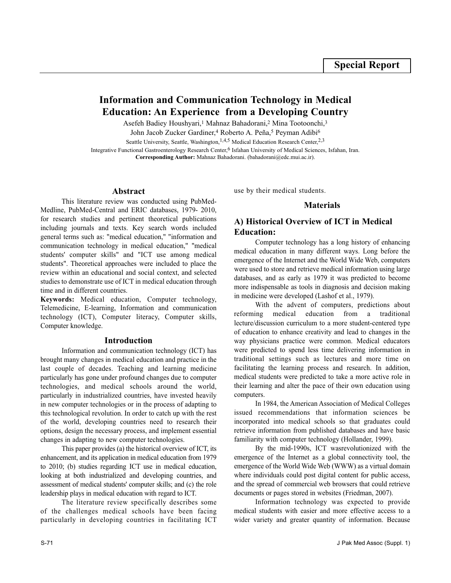# **Information and Communication Technology in Medical Education: An Experience from a Developing Country**

Asefeh Badiey Houshyari,<sup>1</sup> Mahnaz Bahadorani,<sup>2</sup> Mina Tootoonchi,<sup>3</sup>

John Jacob Zucker Gardiner,<sup>4</sup> Roberto A. Peña,<sup>5</sup> Peyman Adibi<sup>6</sup>

Seattle University, Seattle, Washington, <sup>1,4,5</sup> Medical Education Research Center,  $2,3$ 

Integrative Functional Gastroenterology Research Center,<sup>6</sup> Isfahan University of Medical Sciences, Isfahan, Iran. **Corresponding Author:** Mahnaz Bahadorani. (bahadorani@edc.mui.ac.ir).

### **Abstract**

This literature review was conducted using PubMed-Medline, PubMed-Central and ERIC databases, 1979- 2010, for research studies and pertinent theoretical publications including journals and texts. Key search words included general terms such as: "medical education," "information and communication technology in medical education," "medical students' computer skills" and "ICT use among medical students". Theoretical approaches were included to place the review within an educational and social context, and selected studies to demonstrate use of ICT in medical education through time and in different countries.

**Keywords:** Medical education, Computer technology, Telemedicine, E-learning, Information and communication technology (ICT), Computer literacy, Computer skills, Computer knowledge.

#### **Introduction**

Information and communication technology (ICT) has brought many changes in medical education and practice in the last couple of decades. Teaching and learning medicine particularly has gone under profound changes due to computer technologies, and medical schools around the world, particularly in industrialized countries, have invested heavily in new computer technologies or in the process of adapting to this technological revolution. In order to catch up with the rest of the world, developing countries need to research their options, design the necessary process, and implement essential changes in adapting to new computer technologies.

This paper provides (a) the historical overview of ICT, its enhancement, and its application in medical education from 1979 to 2010; (b) studies regarding ICT use in medical education, looking at both industrialized and developing countries, and assessment of medical students' computer skills; and (c) the role leadership plays in medical education with regard to ICT.

The literature review specifically describes some of the challenges medical schools have been facing particularly in developing countries in facilitating ICT use by their medical students.

### **Materials**

### **A) Historical Overview of ICT in Medical Education:**

Computer technology has a long history of enhancing medical education in many different ways. Long before the emergence of the Internet and the World Wide Web, computers were used to store and retrieve medical information using large databases, and as early as 1979 it was predicted to become more indispensable as tools in diagnosis and decision making in medicine were developed (Lashof et al., 1979).

With the advent of computers, predictions about reforming medical education from a traditional lecture/discussion curriculum to a more student-centered type of education to enhance creativity and lead to changes in the way physicians practice were common. Medical educators were predicted to spend less time delivering information in traditional settings such as lectures and more time on facilitating the learning process and research. In addition, medical students were predicted to take a more active role in their learning and alter the pace of their own education using computers.

In 1984, the American Association of Medical Colleges issued recommendations that information sciences be incorporated into medical schools so that graduates could retrieve information from published databases and have basic familiarity with computer technology (Hollander, 1999).

By the mid-1990s, ICT wasrevolutionized with the emergence of the Internet as a global connectivity tool, the emergence of the World Wide Web (WWW) as a virtual domain where individuals could post digital content for public access, and the spread of commercial web browsers that could retrieve documents or pages stored in websites (Friedman, 2007).

Information technology was expected to provide medical students with easier and more effective access to a wider variety and greater quantity of information. Because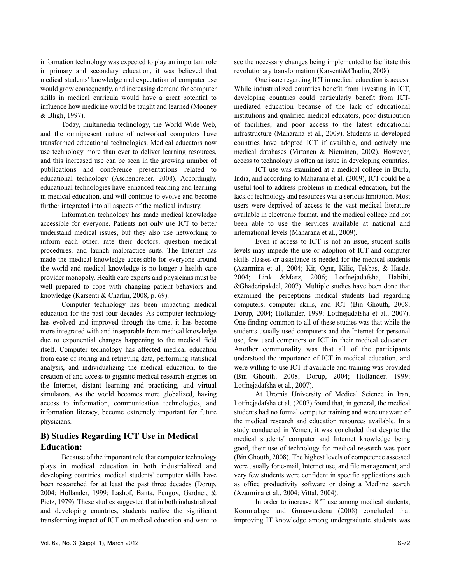information technology was expected to play an important role in primary and secondary education, it was believed that medical students' knowledge and expectation of computer use would grow consequently, and increasing demand for computer skills in medical curricula would have a great potential to influence how medicine would be taught and learned (Mooney & Bligh, 1997).

Today, multimedia technology, the World Wide Web, and the omnipresent nature of networked computers have transformed educational technologies. Medical educators now use technology more than ever to deliver learning resources, and this increased use can be seen in the growing number of publications and conference presentations related to educational technology (Aschenbrener, 2008). Accordingly, educational technologies have enhanced teaching and learning in medical education, and will continue to evolve and become further integrated into all aspects of the medical industry.

Information technology has made medical knowledge accessible for everyone. Patients not only use ICT to better understand medical issues, but they also use networking to inform each other, rate their doctors, question medical procedures, and launch malpractice suits. The Internet has made the medical knowledge accessible for everyone around the world and medical knowledge is no longer a health care provider monopoly. Health care experts and physicians must be well prepared to cope with changing patient behaviors and knowledge (Karsenti & Charlin, 2008, p. 69).

Computer technology has been impacting medical education for the past four decades. As computer technology has evolved and improved through the time, it has become more integrated with and inseparable from medical knowledge due to exponential changes happening to the medical field itself. Computer technology has affected medical education from ease of storing and retrieving data, performing statistical analysis, and individualizing the medical education, to the creation of and access to gigantic medical research engines on the Internet, distant learning and practicing, and virtual simulators. As the world becomes more globalized, having access to information, communication technologies, and information literacy, become extremely important for future physicians.

### **B) Studies Regarding ICT Use in Medical Education:**

Because of the important role that computer technology plays in medical education in both industrialized and developing countries, medical students' computer skills have been researched for at least the past three decades (Dorup, 2004; Hollander, 1999; Lashof, Banta, Pengov, Gardner, & Pietz, 1979). These studies suggested that in both industrialized and developing countries, students realize the significant transforming impact of ICT on medical education and want to see the necessary changes being implemented to facilitate this revolutionary transformation (Karsenti&Charlin, 2008).

One issue regarding ICT in medical education is access. While industrialized countries benefit from investing in ICT, developing countries could particularly benefit from ICTmediated education because of the lack of educational institutions and qualified medical educators, poor distribution of facilities, and poor access to the latest educational infrastructure (Maharana et al., 2009). Students in developed countries have adopted ICT if available, and actively use medical databases (Virtanen & Nieminen, 2002). However, access to technology is often an issue in developing countries.

ICT use was examined at a medical college in Burla, India, and according to Maharana et al. (2009), ICT could be a useful tool to address problems in medical education, but the lack of technology and resources was a serious limitation. Most users were deprived of access to the vast medical literature available in electronic format, and the medical college had not been able to use the services available at national and international levels (Maharana et al., 2009).

Even if access to ICT is not an issue, student skills levels may impede the use or adoption of ICT and computer skills classes or assistance is needed for the medical students (Azarmina et al., 2004; Kir, Ogur, Kilic, Tekbas, & Hasde, 2004; Link &Marz, 2006; Lotfnejadafsha, Habibi, &Ghaderipakdel, 2007). Multiple studies have been done that examined the perceptions medical students had regarding computers, computer skills, and ICT (Bin Ghouth, 2008; Dorup, 2004; Hollander, 1999; Lotfnejadafsha et al., 2007). One finding common to all of these studies was that while the students usually used computers and the Internet for personal use, few used computers or ICT in their medical education. Another commonality was that all of the participants understood the importance of ICT in medical education, and were willing to use ICT if available and training was provided (Bin Ghouth, 2008; Dorup, 2004; Hollander, 1999; Lotfnejadafsha et al., 2007).

At Uromia University of Medical Science in Iran, Lotfnejadafsha et al. (2007) found that, in general, the medical students had no formal computer training and were unaware of the medical research and education resources available. In a study conducted in Yemen, it was concluded that despite the medical students' computer and Internet knowledge being good, their use of technology for medical research was poor (Bin Ghouth, 2008). The highest levels of competence assessed were usually for e-mail, Internet use, and file management, and very few students were confident in specific applications such as office productivity software or doing a Medline search (Azarmina et al., 2004; Vittal, 2004).

In order to increase ICT use among medical students, Kommalage and Gunawardena (2008) concluded that improving IT knowledge among undergraduate students was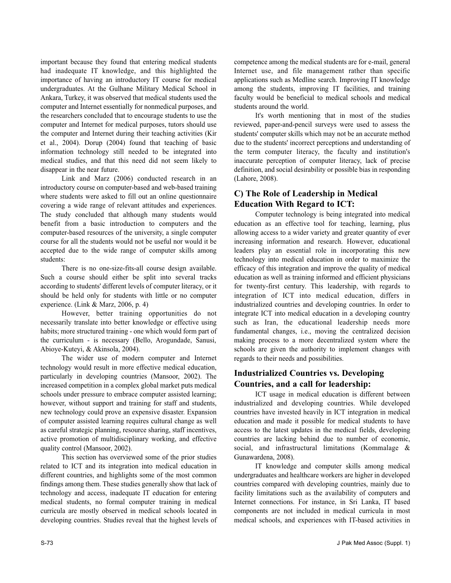important because they found that entering medical students had inadequate IT knowledge, and this highlighted the importance of having an introductory IT course for medical undergraduates. At the Gulhane Military Medical School in Ankara, Turkey, it was observed that medical students used the computer and Internet essentially for nonmedical purposes, and the researchers concluded that to encourage students to use the computer and Internet for medical purposes, tutors should use the computer and Internet during their teaching activities (Kir et al., 2004). Dorup (2004) found that teaching of basic information technology still needed to be integrated into medical studies, and that this need did not seem likely to disappear in the near future.

Link and Marz (2006) conducted research in an introductory course on computer-based and web-based training where students were asked to fill out an online questionnaire covering a wide range of relevant attitudes and experiences. The study concluded that although many students would benefit from a basic introduction to computers and the computer-based resources of the university, a single computer course for all the students would not be useful nor would it be accepted due to the wide range of computer skills among students:

There is no one-size-fits-all course design available. Such a course should either be split into several tracks according to students' different levels of computer literacy, or it should be held only for students with little or no computer experience. (Link & Marz, 2006, p. 4)

However, better training opportunities do not necessarily translate into better knowledge or effective using habits; more structured training - one which would form part of the curriculum - is necessary (Bello, Arogundade, Sanusi, Abioye-Kuteyi, & Akinsola, 2004).

The wider use of modern computer and Internet technology would result in more effective medical education, particularly in developing countries (Mansoor, 2002). The increased competition in a complex global market puts medical schools under pressure to embrace computer assisted learning; however, without support and training for staff and students, new technology could prove an expensive disaster. Expansion of computer assisted learning requires cultural change as well as careful strategic planning, resource sharing, staff incentives, active promotion of multidisciplinary working, and effective quality control (Mansoor, 2002).

This section has overviewed some of the prior studies related to ICT and its integration into medical education in different countries, and highlights some of the most common findings among them. These studies generally show that lack of technology and access, inadequate IT education for entering medical students, no formal computer training in medical curricula are mostly observed in medical schools located in developing countries. Studies reveal that the highest levels of

competence among the medical students are for e-mail, general Internet use, and file management rather than specific applications such as Medline search. Improving IT knowledge among the students, improving IT facilities, and training faculty would be beneficial to medical schools and medical students around the world.

It's worth mentioning that in most of the studies reviewed, paper-and-pencil surveys were used to assess the students' computer skills which may not be an accurate method due to the students' incorrect perceptions and understanding of the term computer literacy, the faculty and institution's inaccurate perception of computer literacy, lack of precise definition, and social desirability or possible bias in responding (Lahore, 2008).

## **C) The Role of Leadership in Medical Education With Regard to ICT:**

Computer technology is being integrated into medical education as an effective tool for teaching, learning, plus allowing access to a wider variety and greater quantity of ever increasing information and research. However, educational leaders play an essential role in incorporating this new technology into medical education in order to maximize the efficacy of this integration and improve the quality of medical education as well as training informed and efficient physicians for twenty-first century. This leadership, with regards to integration of ICT into medical education, differs in industrialized countries and developing countries. In order to integrate ICT into medical education in a developing country such as Iran, the educational leadership needs more fundamental changes, i.e., moving the centralized decision making process to a more decentralized system where the schools are given the authority to implement changes with regards to their needs and possibilities.

## **Industrialized Countries vs. Developing Countries, and a call for leadership:**

ICT usage in medical education is different between industrialized and developing countries. While developed countries have invested heavily in ICT integration in medical education and made it possible for medical students to have access to the latest updates in the medical fields, developing countries are lacking behind due to number of economic, social, and infrastructural limitations (Kommalage & Gunawardena, 2008).

IT knowledge and computer skills among medical undergraduates and healthcare workers are higher in developed countries compared with developing countries, mainly due to facility limitations such as the availability of computers and Internet connections. For instance, in Sri Lanka, IT based components are not included in medical curricula in most medical schools, and experiences with IT-based activities in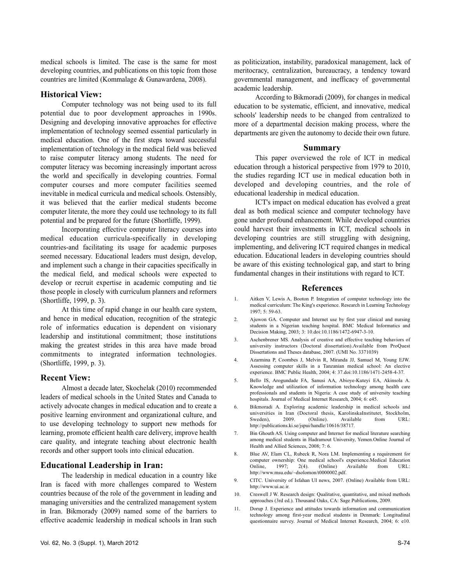medical schools is limited. The case is the same for most developing countries, and publications on this topic from those countries are limited (Kommalage & Gunawardena, 2008).

#### **Historical View:**

Computer technology was not being used to its full potential due to poor development approaches in 1990s. Designing and developing innovative approaches for effective implementation of technology seemed essential particularly in medical education. One of the first steps toward successful implementation of technology in the medical field was believed to raise computer literacy among students. The need for computer literacy was becoming increasingly important across the world and specifically in developing countries. Formal computer courses and more computer facilities seemed inevitable in medical curricula and medical schools. Ostensibly, it was believed that the earlier medical students become computer literate, the more they could use technology to its full potential and be prepared for the future (Shortliffe, 1999).

Incorporating effective computer literacy courses into medical education curricula-specifically in developing countries-and facilitating its usage for academic purposes seemed necessary. Educational leaders must design, develop, and implement such a change in their capacities specifically in the medical field, and medical schools were expected to develop or recruit expertise in academic computing and tie those people in closely with curriculum planners and reformers (Shortliffe, 1999, p. 3).

At this time of rapid change in our health care system, and hence in medical education, recognition of the strategic role of informatics education is dependent on visionary leadership and institutional commitment; those institutions making the greatest strides in this area have made broad commitments to integrated information technologies. (Shortliffe, 1999, p. 3).

### **Recent View:**

Almost a decade later, Skochelak (2010) recommended leaders of medical schools in the United States and Canada to actively advocate changes in medical education and to create a positive learning environment and organizational culture, and to use developing technology to support new methods for learning, promote efficient health care delivery, improve health care quality, and integrate teaching about electronic health records and other support tools into clinical education.

### **Educational Leadership in Iran:**

The leadership in medical education in a country like Iran is faced with more challenges compared to Western countries because of the role of the government in leading and managing universities and the centralized management system in Iran. Bikmorady (2009) named some of the barriers to effective academic leadership in medical schools in Iran such as politicization, instability, paradoxical management, lack of meritocracy, centralization, bureaucracy, a tendency toward governmental management, and inefficacy of governmental academic leadership.

According to Bikmoradi (2009), for changes in medical education to be systematic, efficient, and innovative, medical schools' leadership needs to be changed from centralized to more of a departmental decision making process, where the departments are given the autonomy to decide their own future.

#### **Summary**

This paper overviewed the role of ICT in medical education through a historical perspective from 1979 to 2010, the studies regarding ICT use in medical education both in developed and developing countries, and the role of educational leadership in medical education.

ICT's impact on medical education has evolved a great deal as both medical science and computer technology have gone under profound enhancement. While developed countries could harvest their investments in ICT, medical schools in developing countries are still struggling with designing, implementing, and delivering ICT required changes in medical education. Educational leaders in developing countries should be aware of this existing technological gap, and start to bring fundamental changes in their institutions with regard to ICT.

#### **References**

- 1. Aitken V, Lewis A, Booton P. Integration of computer technology into the medical curriculum: The King's experience. Research in Learning Technology 1997; 5: 59-63.
- 2. Ajuwon GA. Computer and Internet use by first year clinical and nursing students in a Nigerian teaching hospital. BMC Medical Informatics and Decision Making, 2003; 3: 10.doi:10.1186/1472-6947-3-10.
- 3. Aschenbrener MS. Analysis of creative and effective teaching behaviors of university instructors (Doctoral dissertation).Available from ProQuest Dissertations and Theses database, 2007. (UMI No. 3371039)
- 4. Azarmina P, Coombes J, Melvin R, Miranda JJ, Samuel M, Young EJW. Assessing computer skills in a Tanzanian medical school: An elective experience. BMC Public Health, 2004; 4: 37.doi:10.1186/1471-2458-4-37.
- 5. Bello IS, Arogundade FA, Sanusi AA, Abioye-Kuteyi EA, Akinsola A. Knowledge and utilization of information technology among health care professionals and students in Nigeria: A case study of university teaching hospitals. Journal of Medical Internet Research, 2004; 6: e45.
- 6. Bikmoradi A. Exploring academic leadership in medical schools and universities in Iran (Doctoral thesis, KarolinskaInstitutet, Stockholm, Sweden), 2009. (Online). Available from URL: http://publications.ki.se/jspui/handle/10616/38717.
- 7. Bin Ghouth AS. Using computer and Internet for medical literature searching among medical students in Hadramout University, Yemen.Online Journal of Health and Allied Sciences, 2008; 7: 6.
- 8. Blue AV, Elam CL, Rubeck R, Nora LM. Implementing a requirement for computer ownership: One medical school's experience.Medical Education Online, 1997; 2(4). (Online) Available from URL: http://www.msu.edu/~dsolomon/t0000002.pdf.
- 9. CITC. University of Isfahan UI news, 2007. (Online) Available from URL: http://www.ui.ac.ir.
- 10. Creswell J W. Research design: Qualitative, quantitative, and mixed methods approaches (3rd ed.). Thousand Oaks, CA: Sage Publications, 2009.
- 11. Dorup J. Experience and attitudes towards information and communication technology among first-year medical students in Denmark: Longitudinal questionnaire survey. Journal of Medical Internet Research, 2004; 6: e10.